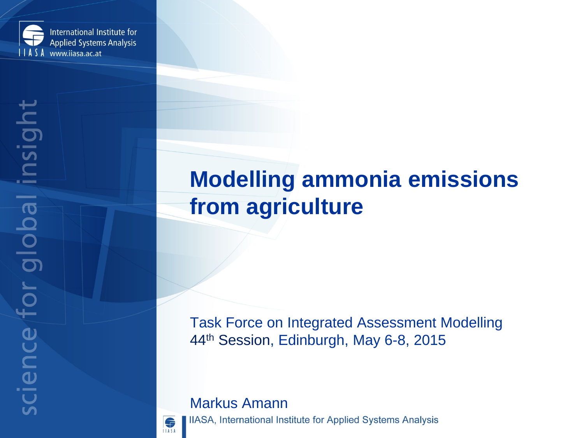

## **Modelling ammonia emissions from agriculture**

Task Force on Integrated Assessment Modelling 44th Session, Edinburgh, May 6-8, 2015

### Markus Amann



IIASA, International Institute for Applied Systems Analysis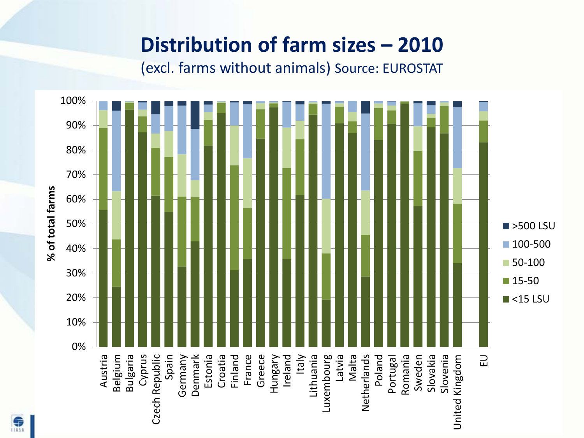## **Distribution of farm sizes – 2010**

(excl. farms without animals) Source: EUROSTAT

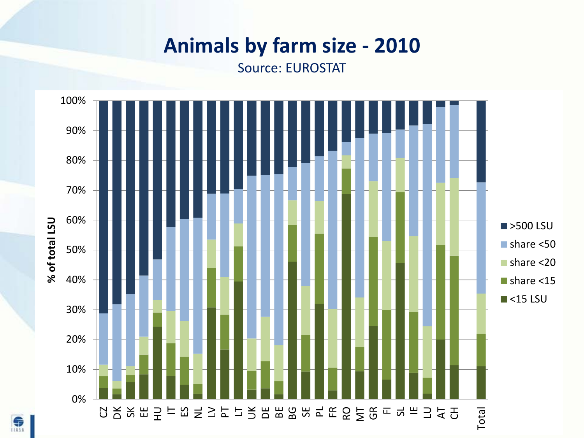## **Animals by farm size - 2010**

Source: EUROSTAT



 $\bigoplus$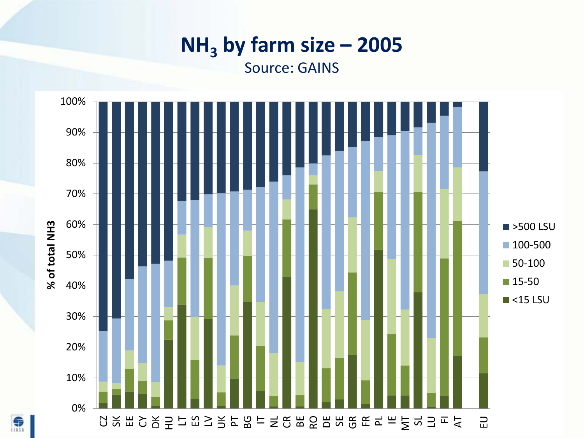# $NH<sub>3</sub>$  by farm size – 2005

Source: GAINS

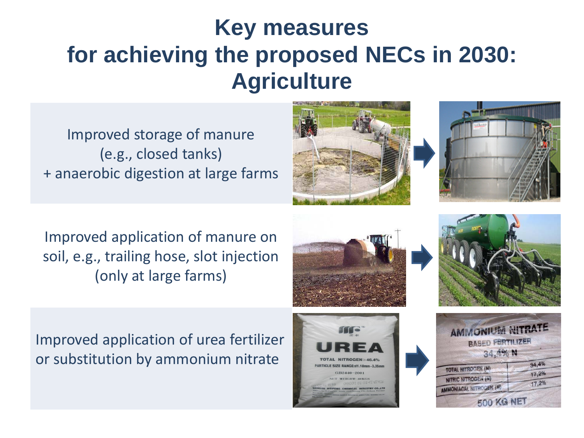# **Key measures for achieving the proposed NECs in 2030: Agriculture**

Improved storage of manure (e.g., closed tanks) + anaerobic digestion at large farms





Improved application of manure on soil, e.g., trailing hose, slot injection (only at large farms)





Improved application of urea fertilizer or substitution by ammonium nitrate



| <b>AMMONIUM NITRATE</b><br><b>BASED FERTILIZER</b> |       |
|----------------------------------------------------|-------|
|                                                    |       |
| <b>TOTAL NITROGEN (N)</b>                          | 34,4% |
| NITRIC NITROGEN (N)                                | 17,2% |
| AMMONIACAL NITROGEN (N)                            | 17,2% |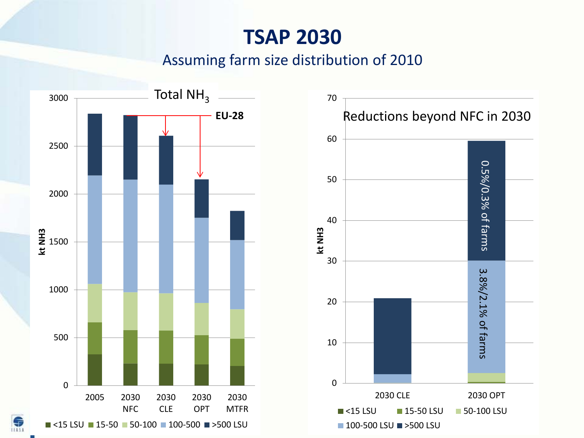## **TSAP 2030**

#### Assuming farm size distribution of 2010

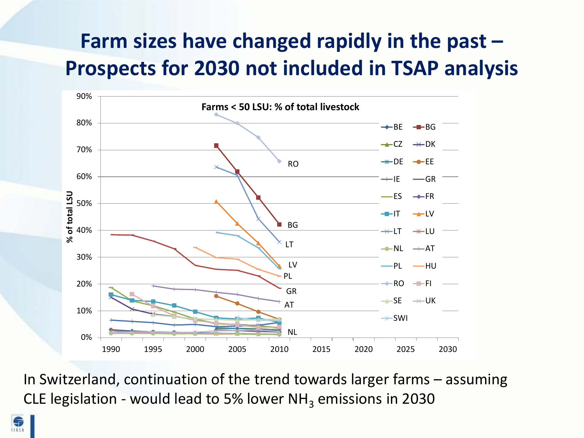## **Farm sizes have changed rapidly in the past – Prospects for 2030 not included in TSAP analysis**



In Switzerland, continuation of the trend towards larger farms – assuming CLE legislation - would lead to 5% lower  $NH<sub>3</sub>$  emissions in 2030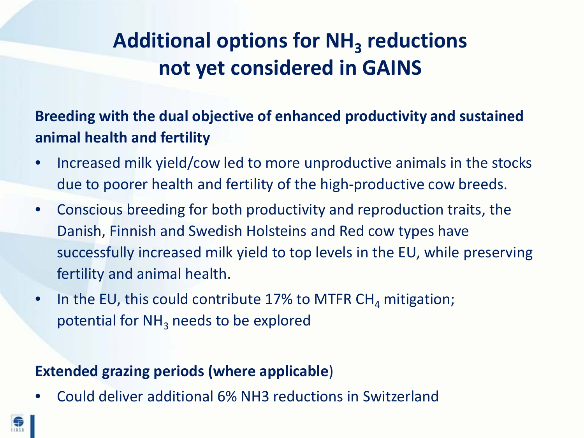## Additional options for NH<sub>3</sub> reductions **not yet considered in GAINS**

**Breeding with the dual objective of enhanced productivity and sustained animal health and fertility**

- Increased milk yield/cow led to more unproductive animals in the stocks due to poorer health and fertility of the high-productive cow breeds.
- Conscious breeding for both productivity and reproduction traits, the Danish, Finnish and Swedish Holsteins and Red cow types have successfully increased milk yield to top levels in the EU, while preserving fertility and animal health.
- In the EU, this could contribute 17% to MTFR CH<sub>4</sub> mitigation; potential for  $NH<sub>3</sub>$  needs to be explored

#### **Extended grazing periods (where applicable**)

• Could deliver additional 6% NH3 reductions in Switzerland